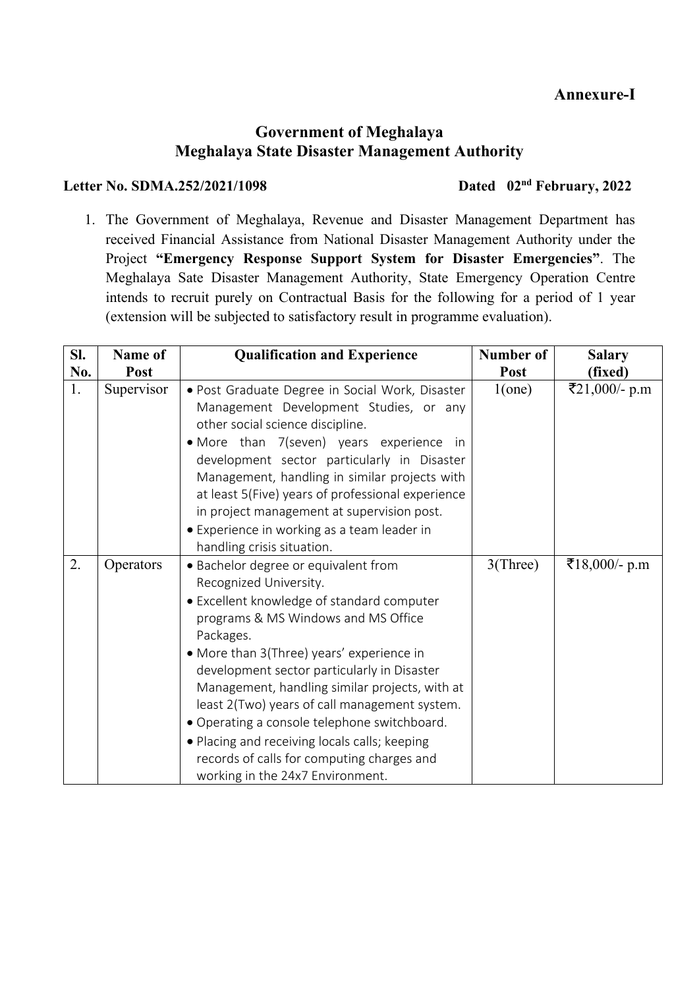# **Annexure-I**

## **Government of Meghalaya Meghalaya State Disaster Management Authority**

### Letter No. SDMA.252/2021/1098 Dated 02<sup>nd</sup> February, 2022

1. The Government of Meghalaya, Revenue and Disaster Management Department has received Financial Assistance from National Disaster Management Authority under the Project **"Emergency Response Support System for Disaster Emergencies"**. The Meghalaya Sate Disaster Management Authority, State Emergency Operation Centre intends to recruit purely on Contractual Basis for the following for a period of 1 year (extension will be subjected to satisfactory result in programme evaluation).

| SI. | Name of    | <b>Qualification and Experience</b>                                                                                                                                                                                                                                                                                                                                                                                                                                                                                                                | Number of | <b>Salary</b> |  |
|-----|------------|----------------------------------------------------------------------------------------------------------------------------------------------------------------------------------------------------------------------------------------------------------------------------------------------------------------------------------------------------------------------------------------------------------------------------------------------------------------------------------------------------------------------------------------------------|-----------|---------------|--|
| No. | Post       |                                                                                                                                                                                                                                                                                                                                                                                                                                                                                                                                                    | Post      | (fixed)       |  |
| 1.  | Supervisor | · Post Graduate Degree in Social Work, Disaster<br>Management Development Studies, or any<br>other social science discipline.<br>• More than 7(seven) years experience in<br>development sector particularly in Disaster<br>Management, handling in similar projects with<br>at least 5(Five) years of professional experience<br>in project management at supervision post.<br>• Experience in working as a team leader in<br>handling crisis situation.                                                                                          | 1(one)    | ₹21,000/- p.m |  |
| 2.  | Operators  | · Bachelor degree or equivalent from<br>Recognized University.<br>• Excellent knowledge of standard computer<br>programs & MS Windows and MS Office<br>Packages.<br>• More than 3(Three) years' experience in<br>development sector particularly in Disaster<br>Management, handling similar projects, with at<br>least 2(Two) years of call management system.<br>• Operating a console telephone switchboard.<br>• Placing and receiving locals calls; keeping<br>records of calls for computing charges and<br>working in the 24x7 Environment. | 3(Three)  | ₹18,000/- p.m |  |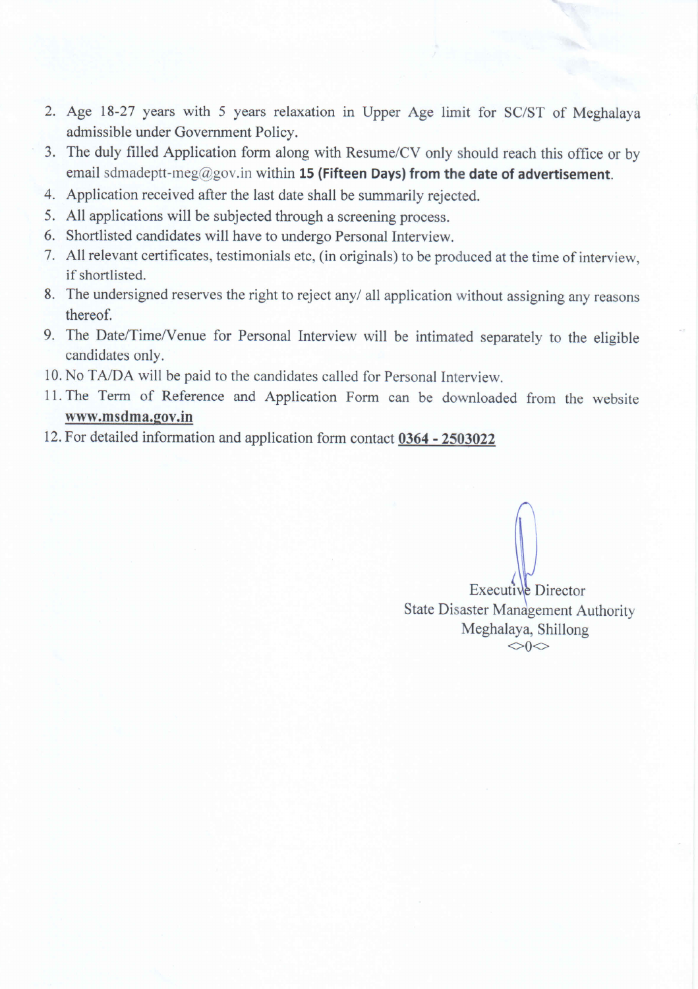- 2. Age 18-27 years with 5 years relaxation in Upper Age limit for SC/ST of Meghalaya admissible under Government Policy.
- 3. The duly filled Application form along with Resume/CV only should reach this office or by email sdmadeptt-meg@gov.in within 15 (Fifteen Days) from the date of advertisement.
- 4. Application received after the last date shall be summarily rejected.
- 5. All applications will be subjected through a screening process.
- 6. Shortlisted candidates will have to undergo Personal Interview.
- 7. All relevant certificates, testimonials etc, (in originals) to be produced at the time of interview, if shortlisted.
- 8. The undersigned reserves the right to reject any/ all application without assigning any reasons thereof.
- 9. The Date/Time/Venue for Personal Interview will be intimated separately to the eligible candidates only.
- 10. No TA/DA will be paid to the candidates called for Personal Interview.
- 11. The Term of Reference and Application Form can be downloaded from the website www.msdma.gov.in
- 12. For detailed information and application form contact 0364 2503022

Executive Director **State Disaster Management Authority** Meghalaya, Shillong  $\Diamond$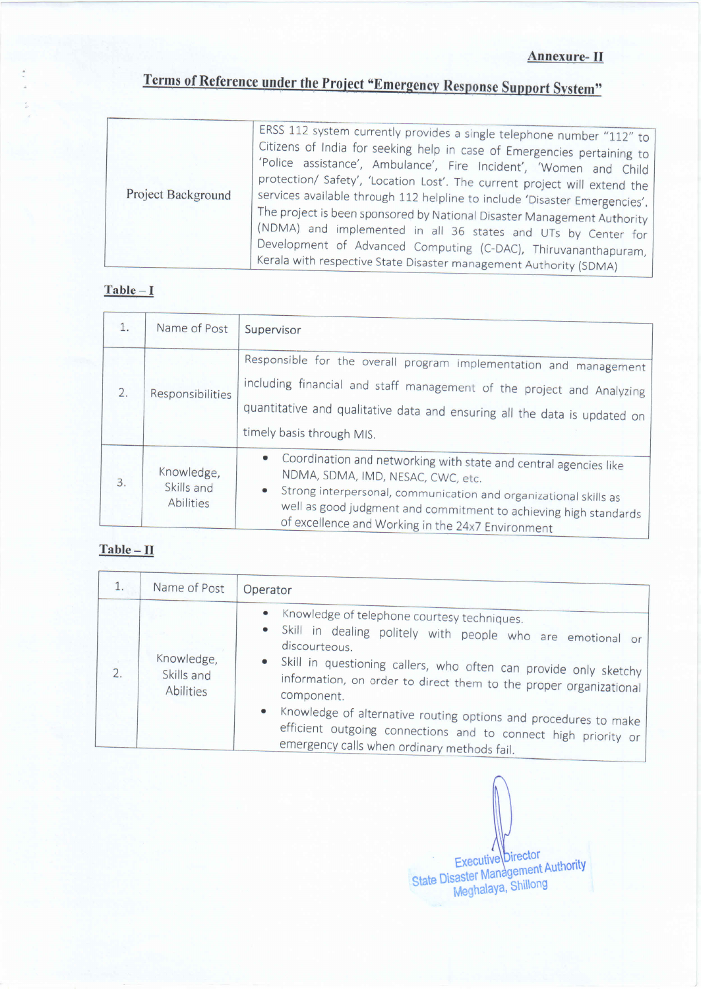# Terms of Reference under the Project "Emergency Response Support System"

| Project Background | ERSS 112 system currently provides a single telephone number "112" to<br>Citizens of India for seeking help in case of Emergencies pertaining to<br>'Police assistance', Ambulance', Fire Incident', 'Women and Child<br>protection/ Safety', 'Location Lost'. The current project will extend the<br>services available through 112 helpline to include 'Disaster Emergencies'.<br>The project is been sponsored by National Disaster Management Authority<br>(NDMA) and implemented in all 36 states and UTs by Center for<br>Development of Advanced Computing (C-DAC), Thiruvananthapuram,<br>Kerala with respective State Disaster management Authority (SDMA) |
|--------------------|---------------------------------------------------------------------------------------------------------------------------------------------------------------------------------------------------------------------------------------------------------------------------------------------------------------------------------------------------------------------------------------------------------------------------------------------------------------------------------------------------------------------------------------------------------------------------------------------------------------------------------------------------------------------|
|--------------------|---------------------------------------------------------------------------------------------------------------------------------------------------------------------------------------------------------------------------------------------------------------------------------------------------------------------------------------------------------------------------------------------------------------------------------------------------------------------------------------------------------------------------------------------------------------------------------------------------------------------------------------------------------------------|

#### $Table - I$

| 1. | Name of Post                          | Supervisor                                                                                                                                                                                                                                                                                                                                 |
|----|---------------------------------------|--------------------------------------------------------------------------------------------------------------------------------------------------------------------------------------------------------------------------------------------------------------------------------------------------------------------------------------------|
| 2. | Responsibilities                      | Responsible for the overall program implementation and management<br>including financial and staff management of the project and Analyzing<br>quantitative and qualitative data and ensuring all the data is updated on<br>timely basis through MIS.                                                                                       |
| 3. | Knowledge,<br>Skills and<br>Abilities | Coordination and networking with state and central agencies like<br>$\bullet$<br>NDMA, SDMA, IMD, NESAC, CWC, etc.<br>$\qquad \qquad \bullet$<br>Strong interpersonal, communication and organizational skills as<br>well as good judgment and commitment to achieving high standards<br>of excellence and Working in the 24x7 Environment |

### $Table - II$

| 1. | Name of Post                          | Operator                                                                                                                                                                                                                                                                                                                                                                                                                                                                               |  |  |  |
|----|---------------------------------------|----------------------------------------------------------------------------------------------------------------------------------------------------------------------------------------------------------------------------------------------------------------------------------------------------------------------------------------------------------------------------------------------------------------------------------------------------------------------------------------|--|--|--|
| 2. | Knowledge,<br>Skills and<br>Abilities | • Knowledge of telephone courtesy techniques.<br>Skill in dealing politely with people who are emotional or<br>discourteous.<br>• Skill in questioning callers, who often can provide only sketchy<br>information, on order to direct them to the proper organizational<br>component.<br>$\bullet$<br>Knowledge of alternative routing options and procedures to make<br>efficient outgoing connections and to connect high priority or<br>emergency calls when ordinary methods fail. |  |  |  |

Executive Director<br>State Disaster Management Authority<br>Meghalaya, Shillong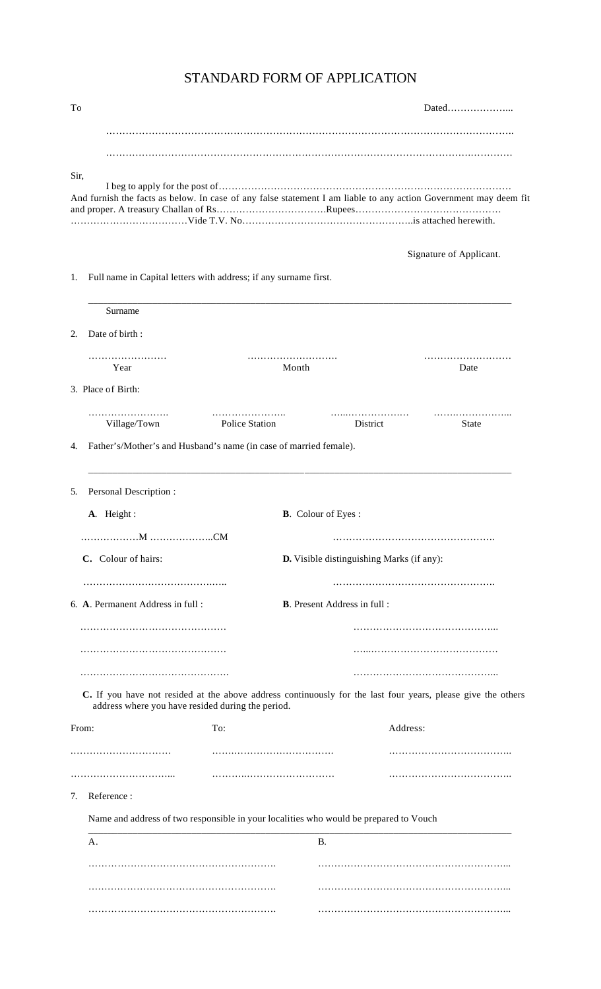| To    |                                                                                                                                                                   |                                     |                                           |
|-------|-------------------------------------------------------------------------------------------------------------------------------------------------------------------|-------------------------------------|-------------------------------------------|
|       |                                                                                                                                                                   |                                     |                                           |
|       |                                                                                                                                                                   |                                     |                                           |
| Sir,  | And furnish the facts as below. In case of any false statement I am liable to any action Government may deem fit                                                  |                                     |                                           |
|       |                                                                                                                                                                   |                                     | Signature of Applicant.                   |
| 1.    | Full name in Capital letters with address; if any surname first.                                                                                                  |                                     |                                           |
|       | Surname                                                                                                                                                           |                                     |                                           |
| 2.    | Date of birth:                                                                                                                                                    |                                     |                                           |
|       | Year                                                                                                                                                              | Month                               | Date                                      |
|       | 3. Place of Birth:                                                                                                                                                |                                     |                                           |
|       | Village/Town<br>Police Station                                                                                                                                    |                                     | District<br><b>State</b>                  |
| 4.    | Father's/Mother's and Husband's name (in case of married female).                                                                                                 |                                     |                                           |
| 5.    | Personal Description:                                                                                                                                             |                                     |                                           |
|       | A. Height:                                                                                                                                                        | <b>B.</b> Colour of Eyes:           |                                           |
|       |                                                                                                                                                                   |                                     |                                           |
|       | C. Colour of hairs:                                                                                                                                               |                                     | D. Visible distinguishing Marks (if any): |
|       | 6. A. Permanent Address in full :                                                                                                                                 | <b>B.</b> Present Address in full : |                                           |
|       |                                                                                                                                                                   |                                     |                                           |
|       |                                                                                                                                                                   |                                     |                                           |
|       |                                                                                                                                                                   |                                     |                                           |
|       | C. If you have not resided at the above address continuously for the last four years, please give the others<br>address where you have resided during the period. |                                     |                                           |
| From: | To:                                                                                                                                                               |                                     | Address:                                  |
|       |                                                                                                                                                                   |                                     |                                           |
|       |                                                                                                                                                                   |                                     |                                           |
| 7.    | Reference:                                                                                                                                                        |                                     |                                           |
|       | Name and address of two responsible in your localities who would be prepared to Vouch                                                                             |                                     |                                           |
|       | A.                                                                                                                                                                | <b>B.</b>                           |                                           |
|       |                                                                                                                                                                   |                                     |                                           |
|       |                                                                                                                                                                   |                                     |                                           |

# STANDARD FORM OF APPLICATION